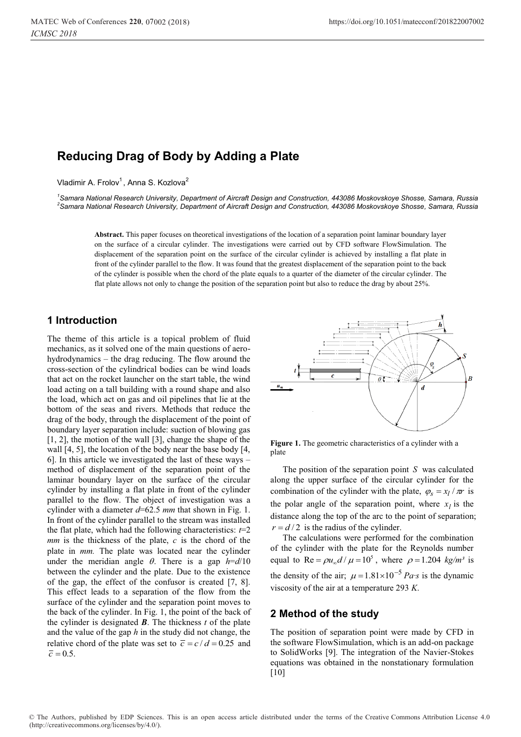# **Reducing Drag of Body by Adding a Plate**

Vladimir A. Frolov<sup>1</sup>, Anna S. Kozlova<sup>2</sup>

*1 Samara National Research University, Department of Aircraft Design and Construction, 443086 Moskovskoye Shosse, Samara, Russia 2 Samara National Research University, Department of Aircraft Design and Construction, 443086 Moskovskoye Shosse, Samara, Russia* 

**Abstract.** This paper focuses on theoretical investigations of the location of a separation point laminar boundary layer on the surface of a circular cylinder. The investigations were carried out by CFD software FlowSimulation. The displacement of the separation point on the surface of the circular cylinder is achieved by installing a flat plate in front of the cylinder parallel to the flow. It was found that the greatest displacement of the separation point to the back of the cylinder is possible when the chord of the plate equals to a quarter of the diameter of the circular cylinder. The flat plate allows not only to change the position of the separation point but also to reduce the drag by about 25%.

## **1 Introduction**

The theme of this article is a topical problem of fluid mechanics, as it solved one of the main questions of aerohydrodynamics – the drag reducing. The flow around the cross-section of the cylindrical bodies can be wind loads that act on the rocket launcher on the start table, the wind load acting on a tall building with a round shape and also the load, which act on gas and oil pipelines that lie at the bottom of the seas and rivers. Methods that reduce the drag of the body, through the displacement of the point of boundary layer separation include: suction of blowing gas [1, 2], the motion of the wall [3], change the shape of the wall [4, 5], the location of the body near the base body [4, 6]. In this article we investigated the last of these ways – method of displacement of the separation point of the laminar boundary layer on the surface of the circular cylinder by installing a flat plate in front of the cylinder parallel to the flow. The object of investigation was a cylinder with a diameter *d*=62.5 *mm* that shown in Fig. 1. In front of the cylinder parallel to the stream was installed the flat plate, which had the following characteristics:  $t=2$ *mm* is the thickness of the plate, *с* is the chord of the plate in *mm.* The plate was located near the cylinder under the meridian angle  $\theta$ . There is a gap  $h = d/10$ between the cylinder and the plate. Due to the existence of the gap, the effect of the confusor is created [7, 8]. This effect leads to a separation of the flow from the surface of the cylinder and the separation point moves to the back of the cylinder. In Fig. 1, the point of the back of the cylinder is designated  $\boldsymbol{B}$ . The thickness  $t$  of the plate and the value of the gap *h* in the study did not change, the relative chord of the plate was set to  $\overline{c} = c / d = 0.25$  and  $\bar{c} = 0.5$ .



**Figure 1.** The geometric characteristics of a cylinder with a plate

The position of the separation point *S* was calculated along the upper surface of the circular cylinder for the combination of the cylinder with the plate,  $\varphi_s = x_l / \pi r$  is the polar angle of the separation point, where  $x_l$  is the distance along the top of the arc to the point of separation;  $r = d/2$  is the radius of the cylinder.

The calculations were performed for the combination of the cylinder with the plate for the Reynolds number equal to Re =  $\rho u_{\alpha} d / \mu = 10^5$ , where  $\rho = 1.204$  *kg/m<sup>3</sup>* is the density of the air;  $\mu = 1.81 \times 10^{-5}$  *Pa·s* is the dynamic viscosity of the air at a temperature 293 *K*.

## **2 Method of the study**

The position of separation point were made by CFD in the software FlowSimulation, which is an add-on package to SolidWorks [9]. The integration of the Navier-Stokes equations was obtained in the nonstationary formulation [10]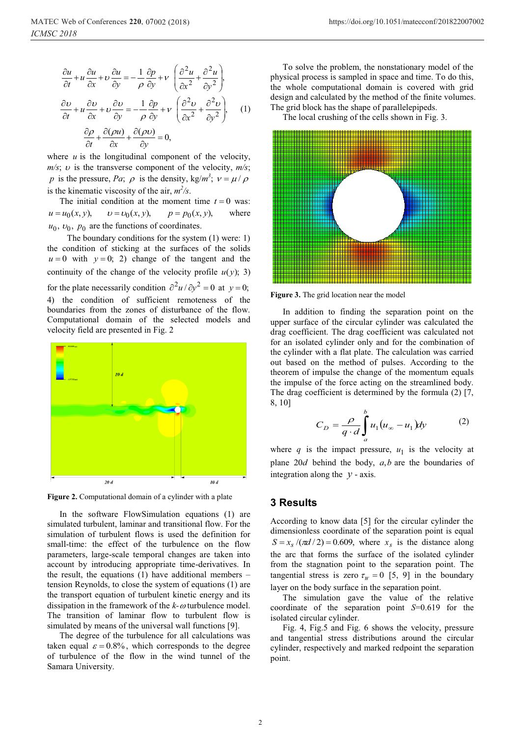$$
\frac{\partial u}{\partial t} + u \frac{\partial u}{\partial x} + v \frac{\partial u}{\partial y} = -\frac{1}{\rho} \frac{\partial p}{\partial y} + v \left( \frac{\partial^2 u}{\partial x^2} + \frac{\partial^2 u}{\partial y^2} \right),
$$

$$
\frac{\partial v}{\partial t} + u \frac{\partial v}{\partial x} + v \frac{\partial v}{\partial y} = -\frac{1}{\rho} \frac{\partial p}{\partial y} + v \left( \frac{\partial^2 v}{\partial x^2} + \frac{\partial^2 v}{\partial y^2} \right), \quad (1)
$$

$$
\frac{\partial \rho}{\partial t} + \frac{\partial (\rho u)}{\partial x} + \frac{\partial (\rho v)}{\partial y} = 0,
$$

where  $u$  is the longitudinal component of the velocity,  $m/s$ ;  $v$  is the transverse component of the velocity,  $m/s$ ; *p* is the pressure, *Pa*;  $\rho$  is the density, kg/*m<sup>3</sup>*;  $v = \mu / \rho$ is the kinematic viscosity of the air,  $m^2/s$ .

The initial condition at the moment time  $t = 0$  was:  $u = u_0(x, y),$   $v = v_0(x, y),$   $p = p_0(x, y),$  where  $u_0$ ,  $v_0$ ,  $p_0$  are the functions of coordinates.

 The boundary conditions for the system (1) were: 1) the condition of sticking at the surfaces of the solids  $u = 0$  with  $y = 0$ ; 2) change of the tangent and the continuity of the change of the velocity profile  $u(y)$ ; 3) for the plate necessarily condition  $\partial^2 u / \partial y^2 = 0$  at  $y = 0$ ; 4) the condition of sufficient remoteness of the boundaries from the zones of disturbance of the flow. Computational domain of the selected models and velocity field are presented in Fig. 2



**Figure 2.** Computational domain of a cylinder with a plate

In the software FlowSimulation equations (1) are simulated turbulent, laminar and transitional flow. For the simulation of turbulent flows is used the definition for small-time: the effect of the turbulence on the flow parameters, large-scale temporal changes are taken into account by introducing appropriate time-derivatives. In the result, the equations (1) have additional members – tension Reynolds, to close the system of equations (1) are the transport equation of turbulent kinetic energy and its dissipation in the framework of the  $k-\omega$  turbulence model. The transition of laminar flow to turbulent flow is simulated by means of the universal wall functions [9].

The degree of the turbulence for all calculations was taken equal  $\varepsilon = 0.8\%$ , which corresponds to the degree of turbulence of the flow in the wind tunnel of the Samara University.

To solve the problem, the nonstationary model of the physical process is sampled in space and time. To do this, the whole computational domain is covered with grid design and calculated by the method of the finite volumes. The grid block has the shape of parallelepipeds.

The local crushing of the cells shown in Fig. 3.



**Figure 3.** The grid location near the model

In addition to finding the separation point on the upper surface of the circular cylinder was calculated the drag coefficient. The drag coefficient was calculated not for an isolated cylinder only and for the combination of the cylinder with a flat plate. The calculation was carried out based on the method of pulses. According to the theorem of impulse the change of the momentum equals the impulse of the force acting on the streamlined body. The drag coefficient is determined by the formula (2) [7, 8, 10]

$$
C_D = \frac{\rho}{q \cdot d} \int_a^b u_1 (u_\infty - u_1) dy \tag{2}
$$

where  $q$  is the impact pressure,  $u_1$  is the velocity at plane 20*d* behind the body, *a*,*b* are the boundaries of integration along the  $y$  - axis.

#### **3 Results**

According to know data [5] for the circular cylinder the dimensionless coordinate of the separation point is equal  $S = x_s /(\pi d / 2) = 0.609$ , where  $x_s$  is the distance along the arc that forms the surface of the isolated cylinder from the stagnation point to the separation point. The tangential stress is zero  $\tau_w = 0$  [5, 9] in the boundary layer on the body surface in the separation point.

The simulation gave the value of the relative coordinate of the separation point *S*=0.619 for the isolated circular cylinder.

Fig. 4, Fig.5 and Fig. 6 shows the velocity, pressure and tangential stress distributions around the circular cylinder, respectively and marked redpoint the separation point.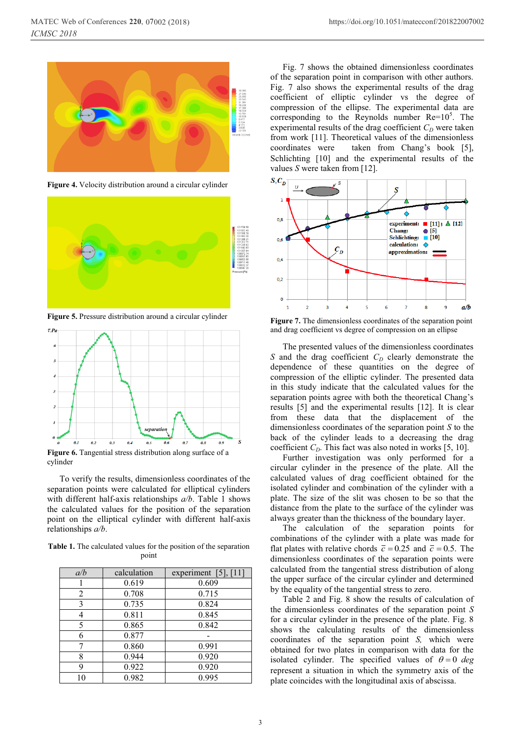

**Figure 4.** Velocity distribution around a circular cylinder



**Figure 5.** Pressure distribution around a circular cylinder  $\tau_{Pa}$ 



**Figure 6.** Tangential stress distribution along surface of a cylinder

To verify the results, dimensionless coordinates of the separation points were calculated for elliptical cylinders with different half-axis relationships *a/b*. Table 1 shows the calculated values for the position of the separation point on the elliptical cylinder with different half-axis relationships *a/b*.

**Table 1.** The calculated values for the position of the separation point

| a/b | calculation | experiment $[5]$ , $[11]$ |
|-----|-------------|---------------------------|
|     | 0.619       | 0.609                     |
| 2   | 0.708       | 0.715                     |
| 3   | 0.735       | 0.824                     |
| 4   | 0.811       | 0.845                     |
| 5   | 0.865       | 0.842                     |
| 6   | 0.877       |                           |
| 7   | 0.860       | 0.991                     |
| 8   | 0.944       | 0.920                     |
| 9   | 0.922       | 0.920                     |
| 10  | 0.982       | 0.995                     |

Fig. 7 shows the obtained dimensionless coordinates of the separation point in comparison with other authors. Fig. 7 also shows the experimental results of the drag coefficient of elliptic cylinder vs the degree of compression of the ellipse. The experimental data are corresponding to the Reynolds number  $Re=10^5$ . The experimental results of the drag coefficient  $C<sub>D</sub>$  were taken from work [11]. Theoretical values of the dimensionless coordinates were taken from Chang's book [5], taken from Chang's book [5], Schlichting [10] and the experimental results of the values *S* were taken from [12].



**Figure 7.** The dimensionless coordinates of the separation point and drag coefficient vs degree of compression on an ellipse

The presented values of the dimensionless coordinates  $S$  and the drag coefficient  $C_D$  clearly demonstrate the dependence of these quantities on the degree of compression of the elliptic cylinder. The presented data in this study indicate that the calculated values for the results  $[5]$  and the experimental results  $[12]$ . It is clear from these data that the displacement of the dimensionless coordinates of the separation point *S* to the back of the cylinder leads to a decreasing the drag coefficient  $C_D$ . This fact was also noted in works [5, 10].

Further investigation was only performed for a circular cylinder in the presence of the plate. All the calculated values of drag coefficient obtained for the isolated cylinder and combination of the cylinder with a plate. The size of the slit was chosen to be so that the distance from the plate to the surface of the cylinder was always greater than the thickness of the boundary layer.

The calculation of the separation points for combinations of the cylinder with a plate was made for flat plates with relative chords  $\bar{c} = 0.25$  and  $\bar{c} = 0.5$ . The dimensionless coordinates of the separation points were calculated from the tangential stress distribution of along the upper surface of the circular cylinder and determined by the equality of the tangential stress to zero.

Table 2 and Fig. 8 show the results of calculation of the dimensionless coordinates of the separation point *S* for a circular cylinder in the presence of the plate. Fig. 8 shows the calculating results of the dimensionless coordinates of the separation point *S,* which were obtained for two plates in comparison with data for the isolated cylinder. The specified values of  $\theta = 0$  *deg* represent a situation in which the symmetry axis of the plate coincides with the longitudinal axis of abscissa.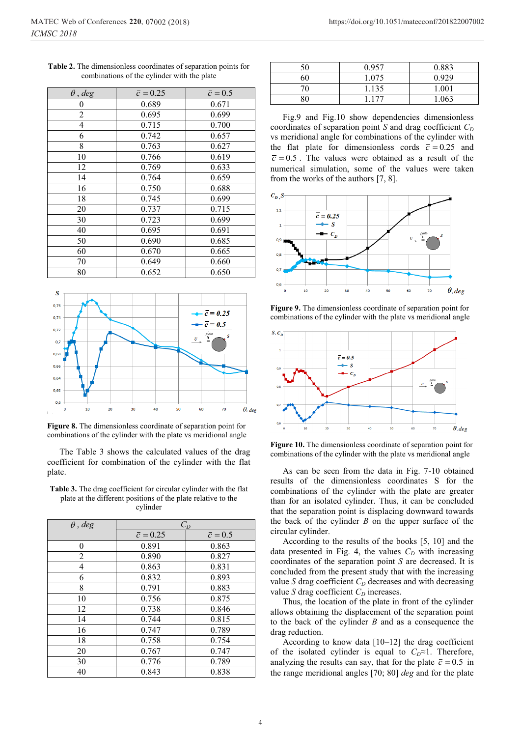| $\theta$ , deg | $\bar{c} = 0.25$ | $\overline{c} = 0.5$ |
|----------------|------------------|----------------------|
| 0              | 0.689            | 0.671                |
| $\overline{c}$ | 0.695            | 0.699                |
| 4              | 0.715            | 0.700                |
| 6              | 0.742            | 0.657                |
| 8              | 0.763            | 0.627                |
| 10             | 0.766            | 0.619                |
| 12             | 0.769            | 0.633                |
| 14             | 0.764            | 0.659                |
| 16             | 0.750            | 0.688                |
| 18             | 0.745            | 0.699                |
| 20             | 0.737            | 0.715                |
| 30             | 0.723            | 0.699                |
| 40             | 0.695            | 0.691                |
| 50             | 0.690            | 0.685                |
| 60             | 0.670            | 0.665                |
| 70             | 0.649            | 0.660                |
| 80             | 0.652            | 0.650                |

**Table 2.** The dimensionless coordinates of separation points for combinations of the cylinder with the plate



**Figure 8.** The dimensionless coordinate of separation point for combinations of the cylinder with the plate vs meridional angle

The Table 3 shows the calculated values of the drag coefficient for combination of the cylinder with the flat plate.

| <b>Table 3.</b> The drag coefficient for circular cylinder with the flat |
|--------------------------------------------------------------------------|
| plate at the different positions of the plate relative to the            |
| cylinder                                                                 |
|                                                                          |
|                                                                          |

**Table 3.** The drag coefficient for circular cylinder with the flat

| $\theta$ , deg | $C_D$            |                      |
|----------------|------------------|----------------------|
|                | $\bar{c} = 0.25$ | $\overline{c} = 0.5$ |
| 0              | 0.891            | 0.863                |
| 2              | 0.890            | 0.827                |
| 4              | 0.863            | 0.831                |
| 6              | 0.832            | 0.893                |
| 8              | 0.791            | 0.883                |
| 10             | 0.756            | 0.875                |
| 12             | 0.738            | 0.846                |
| 14             | 0.744            | 0.815                |
| 16             | 0.747            | 0.789                |
| 18             | 0.758            | 0.754                |
| 20             | 0.767            | 0.747                |
| 30             | 0.776            | 0.789                |
| 40             | 0.843            | 0.838                |

| 50 | 0.957 | 0.883 |
|----|-------|-------|
| 60 | 1.075 | 0.929 |
| 70 | 1.135 | 1.001 |
| 80 | 1.177 | 1.063 |

Fig.9 and Fig.10 show dependencies dimensionless coordinates of separation point *S* and drag coefficient  $C_D$ vs meridional angle for combinations of the cylinder with the flat plate for dimensionless cords  $\bar{c} = 0.25$  and  $\overline{c}$  = 0.5. The values were obtained as a result of the numerical simulation, some of the values were taken from the works of the authors [7, 8].



**Figure 9.** The dimensionless coordinate of separation point for combinations of the cylinder with the plate vs meridional angle



**Figure 10.** The dimensionless coordinate of separation point for combinations of the cylinder with the plate vs meridional angle

As can be seen from the data in Fig. 7-10 obtained results of the dimensionless coordinates S for the combinations of the cylinder with the plate are greater than for an isolated cylinder. Thus, it can be concluded that the separation point is displacing downward towards the back of the cylinder *B* on the upper surface of the circular cylinder.

According to the results of the books [5, 10] and the data presented in Fig. 4, the values  $C_D$  with increasing coordinates of the separation point *S* are decreased. It is concluded from the present study that with the increasing value *S* drag coefficient  $C_D$  decreases and with decreasing value *S* drag coefficient  $C_D$  increases.

Thus, the location of the plate in front of the cylinder allows obtaining the displacement of the separation point to the back of the cylinder *B* and as a consequence the drag reduction.

According to know data [10–12] the drag coefficient of the isolated cylinder is equal to  $C_D \approx 1$ . Therefore, analyzing the results can say, that for the plate  $\bar{c} = 0.5$  in the range meridional angles [70; 80] *deg* and for the plate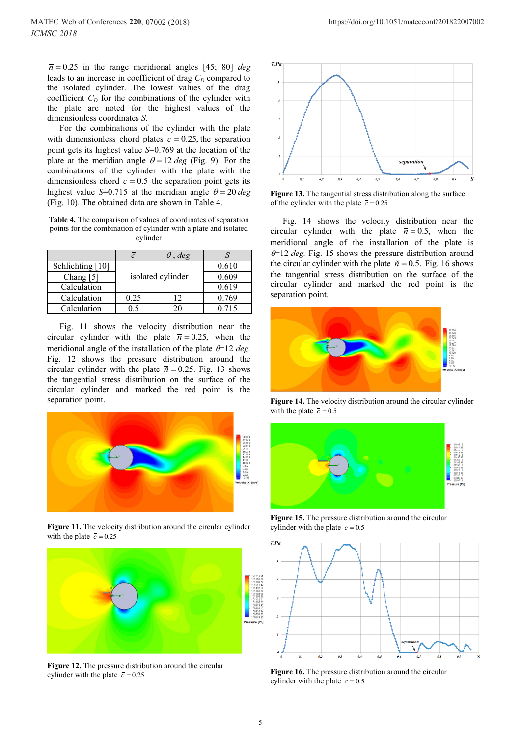$\bar{n} = 0.25$  in the range meridional angles [45; 80] *deg* leads to an increase in coefficient of drag  $C<sub>D</sub>$  compared to the isolated cylinder. The lowest values of the drag coefficient  $C_D$  for the combinations of the cylinder with the plate are noted for the highest values of the dimensionless coordinates *S.*

For the combinations of the cylinder with the plate with dimensionless chord plates  $\bar{c} = 0.25$ , the separation point gets its highest value *S*=0.769 at the location of the plate at the meridian angle  $\theta = 12 \text{ deg }$  (Fig. 9). For the combinations of the cylinder with the plate with the dimensionless chord  $\bar{c} = 0.5$  the separation point gets its highest value *S*=0.715 at the meridian angle  $\theta = 20 \text{ deg}$ (Fig. 10). The obtained data are shown in Table 4.

**Table 4.** The comparison of values of coordinates of separation points for the combination of cylinder with a plate and isolated cylinder

|                  |                   | $\theta$ , deg |       |
|------------------|-------------------|----------------|-------|
| Schlichting [10] |                   |                | 0.610 |
| Chang $[5]$      | isolated cylinder |                | 0.609 |
| Calculation      |                   |                | 0.619 |
| Calculation      | 0.25              | 12             | 0.769 |
| Calculation      | 0.5               | 20.            | 0.715 |

Fig. 11 shows the velocity distribution near the circular cylinder with the plate  $\bar{n} = 0.25$ , when the meridional angle of the installation of the plate  $\theta = 12 \text{ deg.}$ Fig. 12 shows the pressure distribution around the circular cylinder with the plate  $\bar{n} = 0.25$ . Fig. 13 shows the tangential stress distribution on the surface of the circular cylinder and marked the red point is the separation point.



**Figure 11.** The velocity distribution around the circular cylinder with the plate  $\bar{c} = 0.25$ 



**Figure 12.** The pressure distribution around the circular cylinder with the plate  $\bar{c} = 0.25$ 



https://doi.org/10.1051/matecconf/201822007002



**Figure 13.** The tangential stress distribution along the surface of the cylinder with the plate  $\bar{c} = 0.25$ 

Fig. 14 shows the velocity distribution near the circular cylinder with the plate  $\bar{n} = 0.5$ , when the meridional angle of the installation of the plate is  $\theta$ =12 *deg*. Fig. 15 shows the pressure distribution around the circular cylinder with the plate  $\bar{n} = 0.5$ . Fig. 16 shows the tangential stress distribution on the surface of the circular cylinder and marked the red point is the separation point.



**Figure 14.** The velocity distribution around the circular cylinder with the plate  $\bar{c} = 0.5$ 



**Figure 15.** The pressure distribution around the circular cylinder with the plate  $\bar{c} = 0.5$ 



**Figure 16.** The pressure distribution around the circular cylinder with the plate  $\bar{c} = 0.5$